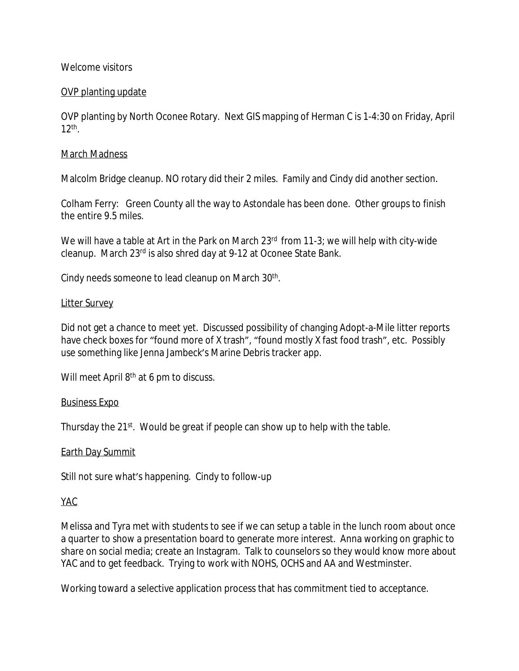## Welcome visitors

# OVP planting update

OVP planting by North Oconee Rotary. Next GIS mapping of Herman C is 1-4:30 on Friday, April 12th .

### March Madness

Malcolm Bridge cleanup. NO rotary did their 2 miles. Family and Cindy did another section.

Colham Ferry: Green County all the way to Astondale has been done. Other groups to finish the entire 9.5 miles.

We will have a table at Art in the Park on March 23<sup>rd</sup> from 11-3; we will help with city-wide cleanup. March 23rd is also shred day at 9-12 at Oconee State Bank.

Cindy needs someone to lead cleanup on March 30<sup>th</sup>.

### Litter Survey

Did not get a chance to meet yet. Discussed possibility of changing Adopt-a-Mile litter reports have check boxes for "found more of X trash", "found mostly X fast food trash", etc. Possibly use something like Jenna Jambeck's Marine Debris tracker app.

Will meet April 8<sup>th</sup> at 6 pm to discuss.

### Business Expo

Thursday the 21<sup>st</sup>. Would be great if people can show up to help with the table.

### Earth Day Summit

Still not sure what's happening. Cindy to follow-up

### YAC

Melissa and Tyra met with students to see if we can setup a table in the lunch room about once a quarter to show a presentation board to generate more interest. Anna working on graphic to share on social media; create an Instagram. Talk to counselors so they would know more about YAC and to get feedback. Trying to work with NOHS, OCHS and AA and Westminster.

Working toward a selective application process that has commitment tied to acceptance.